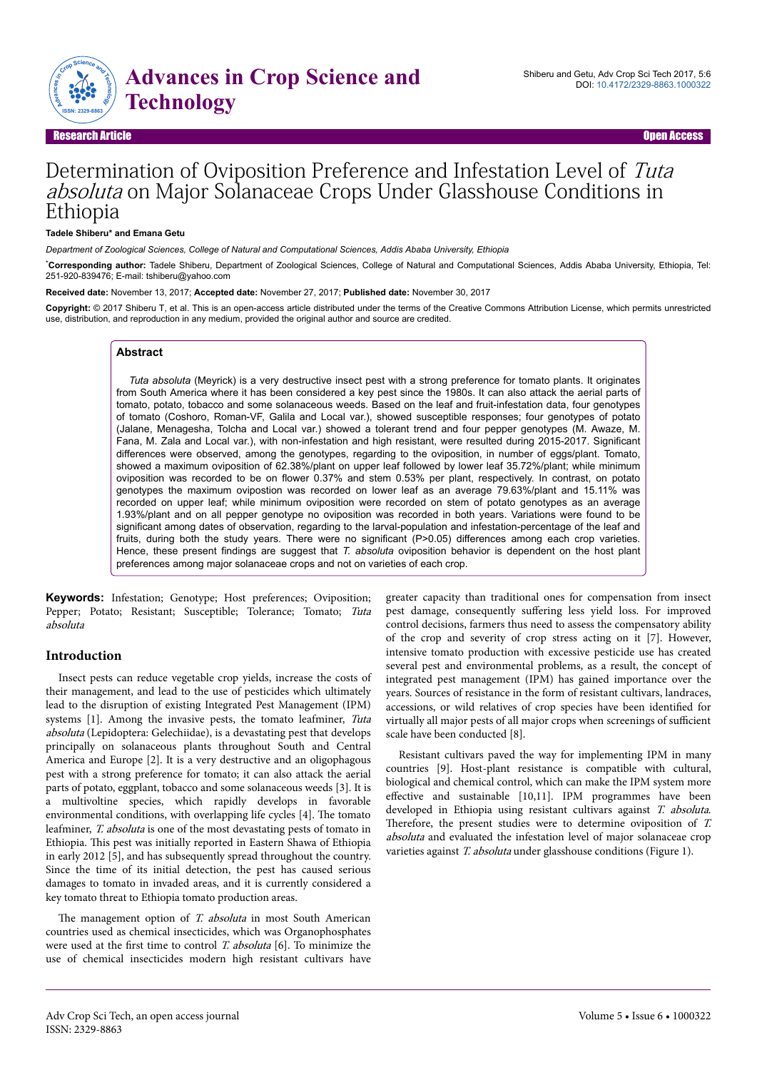

#### Research Article Open Access

# Determination of Oviposition Preference and Infestation Level of Tuta absoluta on Major Solanaceae Crops Under Glasshouse Conditions in Ethiopia

#### **Tadele Shiberu\* and Emana Getu**

*Department of Zoological Sciences, College of Natural and Computational Sciences, Addis Ababa University, Ethiopia*

\***Corresponding author:** Tadele Shiberu, Department of Zoological Sciences, College of Natural and Computational Sciences, Addis Ababa University, Ethiopia, Tel: 251-920-839476; E-mail: tshiberu@yahoo.com

**Received date:** November 13, 2017; **Accepted date:** November 27, 2017; **Published date:** November 30, 2017

**Copyright:** © 2017 Shiberu T, et al. This is an open-access article distributed under the terms of the Creative Commons Attribution License, which permits unrestricted use, distribution, and reproduction in any medium, provided the original author and source are credited.

# **Abstract**

*Tuta absoluta* (Meyrick) is a very destructive insect pest with a strong preference for tomato plants. It originates from South America where it has been considered a key pest since the 1980s. It can also attack the aerial parts of tomato, potato, tobacco and some solanaceous weeds. Based on the leaf and fruit-infestation data, four genotypes of tomato (Coshoro, Roman-VF, Galila and Local var.), showed susceptible responses; four genotypes of potato (Jalane, Menagesha, Tolcha and Local var.) showed a tolerant trend and four pepper genotypes (M. Awaze, M. Fana, M. Zala and Local var.), with non-infestation and high resistant, were resulted during 2015-2017. Significant differences were observed, among the genotypes, regarding to the oviposition, in number of eggs/plant. Tomato, showed a maximum oviposition of 62.38%/plant on upper leaf followed by lower leaf 35.72%/plant; while minimum oviposition was recorded to be on flower 0.37% and stem 0.53% per plant, respectively. In contrast, on potato genotypes the maximum ovipostion was recorded on lower leaf as an average 79.63%/plant and 15.11% was recorded on upper leaf; while minimum oviposition were recorded on stem of potato genotypes as an average 1.93%/plant and on all pepper genotype no oviposition was recorded in both years. Variations were found to be significant among dates of observation, regarding to the larval-population and infestation-percentage of the leaf and fruits, during both the study years. There were no significant (P>0.05) differences among each crop varieties. Hence, these present findings are suggest that *T. absoluta* oviposition behavior is dependent on the host plant preferences among major solanaceae crops and not on varieties of each crop.

**Keywords:** Infestation; Genotype; Host preferences; Oviposition; Pepper; Potato; Resistant; Susceptible; Tolerance; Tomato; Tuta absoluta

#### **Introduction**

Insect pests can reduce vegetable crop yields, increase the costs of their management, and lead to the use of pesticides which ultimately lead to the disruption of existing Integrated Pest Management (IPM) systems [1]. Among the invasive pests, the tomato leafminer, Tuta absoluta (Lepidoptera: Gelechiidae), is a devastating pest that develops principally on solanaceous plants throughout South and Central America and Europe [2]. It is a very destructive and an oligophagous pest with a strong preference for tomato; it can also attack the aerial parts of potato, eggplant, tobacco and some solanaceous weeds [3]. It is a multivoltine species, which rapidly develops in favorable environmental conditions, with overlapping life cycles [4]. Нe tomato leafminer, T. absoluta is one of the most devastating pests of tomato in Ethiopia. Нis pest was initially reported in Eastern Shawa of Ethiopia in early 2012 [5], and has subsequently spread throughout the country. Since the time of its initial detection, the pest has caused serious damages to tomato in invaded areas, and it is currently considered a key tomato threat to Ethiopia tomato production areas.

The management option of T. absoluta in most South American countries used as chemical insecticides, which was Organophosphates were used at the first time to control T. absoluta [6]. To minimize the use of chemical insecticides modern high resistant cultivars have greater capacity than traditional ones for compensation from insect pest damage, consequently suffering less yield loss. For improved control decisions, farmers thus need to assess the compensatory ability of the crop and severity of crop stress acting on it [7]. However, intensive tomato production with excessive pesticide use has created several pest and environmental problems, as a result, the concept of integrated pest management (IPM) has gained importance over the years. Sources of resistance in the form of resistant cultivars, landraces, accessions, or wild relatives of crop species have been identified for virtually all major pests of all major crops when screenings of sufficient scale have been conducted [8].

Resistant cultivars paved the way for implementing IPM in many countries [9]. Host-plant resistance is compatible with cultural, biological and chemical control, which can make the IPM system more effective and sustainable  $[10,11]$ . IPM programmes have been developed in Ethiopia using resistant cultivars against T. absoluta. Therefore, the present studies were to determine oviposition of T. absoluta and evaluated the infestation level of major solanaceae crop varieties against T. absoluta under glasshouse conditions (Figure 1).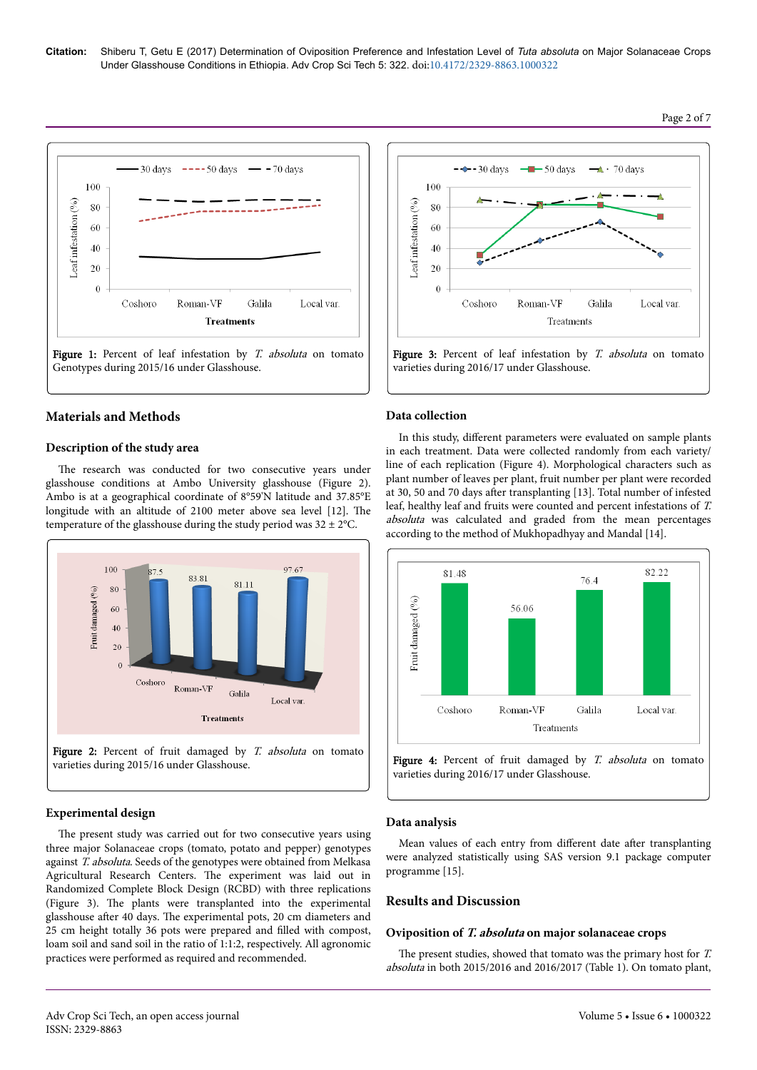

# **Materials and Methods**

## **Description of the study area**

The research was conducted for two consecutive years under glasshouse conditions at Ambo University glasshouse (Figure 2). Ambo is at a geographical coordinate of 8°59'N latitude and 37.85°E longitude with an altitude of 2100 meter above sea level [12]. Нe temperature of the glasshouse during the study period was  $32 \pm 2^{\circ}$ C.



# **Experimental design**

The present study was carried out for two consecutive years using three major Solanaceae crops (tomato, potato and pepper) genotypes against T. absoluta. Seeds of the genotypes were obtained from Melkasa Agricultural Research Centers. Нe experiment was laid out in Randomized Complete Block Design (RCBD) with three replications (Figure 3). Нe plants were transplanted into the experimental glasshouse after 40 days. The experimental pots, 20 cm diameters and 25 cm height totally 36 pots were prepared and filled with compost, loam soil and sand soil in the ratio of 1:1:2, respectively. All agronomic practices were performed as required and recommended.



## **Data collection**

In this study, different parameters were evaluated on sample plants in each treatment. Data were collected randomly from each variety/ line of each replication (Figure 4). Morphological characters such as plant number of leaves per plant, fruit number per plant were recorded at 30, 50 and 70 days after transplanting [13]. Total number of infested leaf, healthy leaf and fruits were counted and percent infestations of T. absoluta was calculated and graded from the mean percentages according to the method of Mukhopadhyay and Mandal [14].



Figure 4: Percent of fruit damaged by T. absoluta on tomato varieties during 2016/17 under Glasshouse.

#### **Data analysis**

Mean values of each entry from different date after transplanting were analyzed statistically using SAS version 9.1 package computer programme [15].

#### **Results and Discussion**

#### **Oviposition of T. absoluta on major solanaceae crops**

The present studies, showed that tomato was the primary host for  $T$ . absoluta in both 2015/2016 and 2016/2017 (Table 1). On tomato plant,

#### Page 2 of 7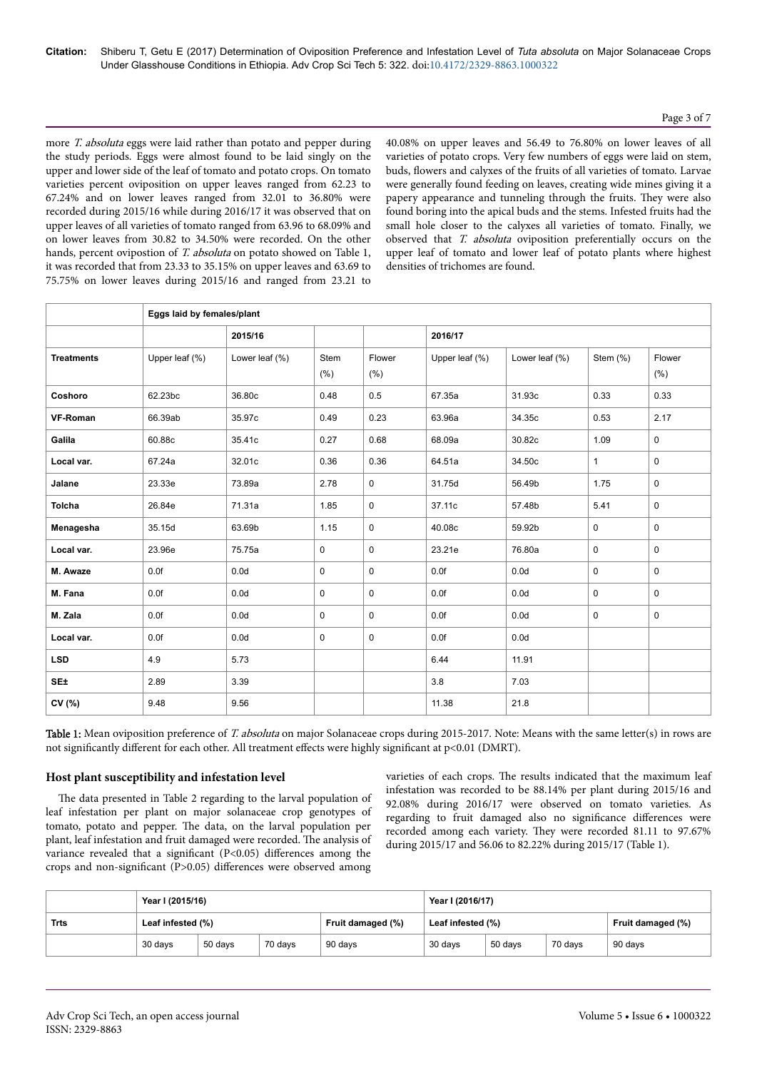# Page 3 of 7

more T. absoluta eggs were laid rather than potato and pepper during the study periods. Eggs were almost found to be laid singly on the upper and lower side of the leaf of tomato and potato crops. On tomato varieties percent oviposition on upper leaves ranged from 62.23 to 67.24% and on lower leaves ranged from 32.01 to 36.80% were recorded during 2015/16 while during 2016/17 it was observed that on upper leaves of all varieties of tomato ranged from 63.96 to 68.09% and on lower leaves from 30.82 to 34.50% were recorded. On the other hands, percent ovipostion of T. absoluta on potato showed on Table 1, it was recorded that from 23.33 to 35.15% on upper leaves and 63.69 to 75.75% on lower leaves during 2015/16 and ranged from 23.21 to

40.08% on upper leaves and 56.49 to 76.80% on lower leaves of all varieties of potato crops. Very few numbers of eggs were laid on stem, buds, flowers and calyxes of the fruits of all varieties of tomato. Larvae were generally found feeding on leaves, creating wide mines giving it a papery appearance and tunneling through the fruits. They were also found boring into the apical buds and the stems. Infested fruits had the small hole closer to the calyxes all varieties of tomato. Finally, we observed that T. absoluta oviposition preferentially occurs on the upper leaf of tomato and lower leaf of potato plants where highest densities of trichomes are found.

|                   | Eggs laid by females/plant |                   |              |                |                    |                  |              |                |
|-------------------|----------------------------|-------------------|--------------|----------------|--------------------|------------------|--------------|----------------|
|                   |                            | 2015/16           |              |                | 2016/17            |                  |              |                |
| <b>Treatments</b> | Upper leaf $(\% )$         | Lower leaf $(\%)$ | Stem<br>(% ) | Flower<br>(% ) | Upper leaf $(\% )$ | Lower leaf (%)   | Stem $(\%)$  | Flower<br>(% ) |
| Coshoro           | 62.23bc                    | 36.80c            | 0.48         | 0.5            | 67.35a             | 31.93c           | 0.33         | 0.33           |
| VF-Roman          | 66.39ab                    | 35.97c            | 0.49         | 0.23           | 63.96a             | 34.35c           | 0.53         | 2.17           |
| Galila            | 60.88c                     | 35.41c            | 0.27         | 0.68           | 68.09a             | 30.82c           | 1.09         | 0              |
| Local var.        | 67.24a                     | 32.01c            | 0.36         | 0.36           | 64.51a             | 34.50c           | $\mathbf{1}$ | $\mathbf 0$    |
| Jalane            | 23.33e                     | 73.89a            | 2.78         | $\mathbf 0$    | 31.75d             | 56.49b           | 1.75         | $\mathbf 0$    |
| <b>Tolcha</b>     | 26.84e                     | 71.31a            | 1.85         | $\mathbf 0$    | 37.11c             | 57.48b           | 5.41         | $\mathbf 0$    |
| Menagesha         | 35.15d                     | 63.69b            | 1.15         | $\mathbf 0$    | 40.08c             | 59.92b           | $\mathbf 0$  | $\mathbf 0$    |
| Local var.        | 23.96e                     | 75.75a            | $\mathbf 0$  | $\mathbf 0$    | 23.21e             | 76.80a           | $\mathbf 0$  | $\mathbf 0$    |
| M. Awaze          | 0.0f                       | 0.0d              | 0            | $\mathbf 0$    | 0.0f               | 0.0 <sub>d</sub> | $\mathbf 0$  | $\mathbf 0$    |
| M. Fana           | 0.0f                       | 0.0 <sub>d</sub>  | 0            | $\mathbf 0$    | 0.0f               | 0.0d             | $\mathbf 0$  | $\mathbf 0$    |
| M. Zala           | 0.0f                       | 0.0 <sub>d</sub>  | $\mathbf 0$  | $\mathbf 0$    | 0.0f               | 0.0d             | $\mathbf 0$  | $\mathbf 0$    |
| Local var.        | 0.0f                       | 0.0 <sub>d</sub>  | 0            | $\pmb{0}$      | 0.0f               | 0.0 <sub>d</sub> |              |                |
| <b>LSD</b>        | 4.9                        | 5.73              |              |                | 6.44               | 11.91            |              |                |
| SE±               | 2.89                       | 3.39              |              |                | 3.8                | 7.03             |              |                |
| CV (%)            | 9.48                       | 9.56              |              |                | 11.38              | 21.8             |              |                |

Table 1: Mean oviposition preference of T. absoluta on major Solanaceae crops during 2015-2017. Note: Means with the same letter(s) in rows are not significantly different for each other. All treatment effects were highly significant at p<0.01 (DMRT).

# **Host plant susceptibility and infestation level**

The data presented in Table 2 regarding to the larval population of leaf infestation per plant on major solanaceae crop genotypes of tomato, potato and pepper. Нe data, on the larval population per plant, leaf infestation and fruit damaged were recorded. The analysis of variance revealed that a significant  $(P<0.05)$  differences among the crops and non-significant (P>0.05) differences were observed among varieties of each crops. Нe results indicated that the maximum leaf infestation was recorded to be 88.14% per plant during 2015/16 and 92.08% during 2016/17 were observed on tomato varieties. As regarding to fruit damaged also no significance differences were recorded among each variety. They were recorded 81.11 to 97.67% during 2015/17 and 56.06 to 82.22% during 2015/17 (Table 1).

|      | Year I (2015/16)  |         |         |                   | Year I (2016/17)  |         |         |                   |  |  |
|------|-------------------|---------|---------|-------------------|-------------------|---------|---------|-------------------|--|--|
| Trts | Leaf infested (%) |         |         | Fruit damaged (%) | Leaf infested (%) |         |         | Fruit damaged (%) |  |  |
|      | 30 days           | 50 days | 70 days | 90 days           | 30 days           | 50 days | 70 davs | 90 days           |  |  |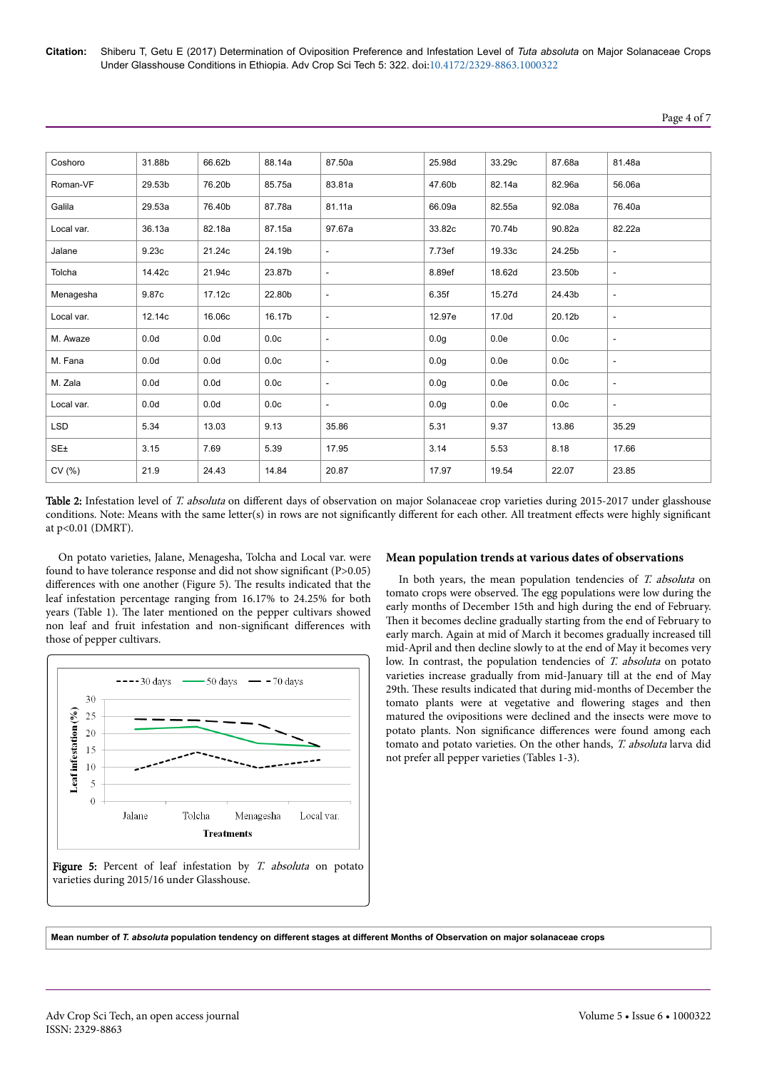| Coshoro         | 31.88b           | 66.62b           | 88.14a | 87.50a                   | 25.98d           | 33.29c | 87.68a | 81.48a                   |
|-----------------|------------------|------------------|--------|--------------------------|------------------|--------|--------|--------------------------|
| Roman-VF        | 29.53b           | 76.20b           | 85.75a | 83.81a                   | 47.60b           | 82.14a | 82.96a | 56.06a                   |
| Galila          | 29.53a           | 76.40b           | 87.78a | 81.11a                   | 66.09a           | 82.55a | 92.08a | 76.40a                   |
| Local var.      | 36.13a           | 82.18a           | 87.15a | 97.67a                   | 33.82c           | 70.74b | 90.82a | 82.22a                   |
| Jalane          | 9.23c            | 21.24c           | 24.19b | $\sim$                   | 7.73ef           | 19.33c | 24.25b | $\sim$                   |
| Tolcha          | 14.42c           | 21.94c           | 23.87b | $\overline{\phantom{a}}$ | 8.89ef           | 18.62d | 23.50b | $\overline{\phantom{a}}$ |
| Menagesha       | 9.87c            | 17.12c           | 22.80b | $\overline{\phantom{a}}$ | 6.35f            | 15.27d | 24.43b | $\sim$                   |
| Local var.      | 12.14c           | 16.06c           | 16.17b | $\sim$                   | 12.97e           | 17.0d  | 20.12b | $\overline{\phantom{a}}$ |
| M. Awaze        | 0.0 <sub>d</sub> | 0.0 <sub>d</sub> | 0.0c   | $\overline{\phantom{a}}$ | 0.0 <sub>g</sub> | 0.0e   | 0.0c   | $\overline{\phantom{a}}$ |
| M. Fana         | 0.0 <sub>d</sub> | 0.0d             | 0.0c   | $\sim$                   | 0.0 <sub>g</sub> | 0.0e   | 0.0c   | $\sim$                   |
| M. Zala         | 0.0 <sub>d</sub> | 0.0d             | 0.0c   | $\sim$                   | 0.0 <sub>g</sub> | 0.0e   | 0.0c   | $\overline{\phantom{a}}$ |
| Local var.      | 0.0 <sub>d</sub> | 0.0d             | 0.0c   | $\sim$                   | 0.0 <sub>g</sub> | 0.0e   | 0.0c   | $\overline{\phantom{a}}$ |
| <b>LSD</b>      | 5.34             | 13.03            | 9.13   | 35.86                    | 5.31             | 9.37   | 13.86  | 35.29                    |
| SE <sub>±</sub> | 3.15             | 7.69             | 5.39   | 17.95                    | 3.14             | 5.53   | 8.18   | 17.66                    |
| CV(%)           | 21.9             | 24.43            | 14.84  | 20.87                    | 17.97            | 19.54  | 22.07  | 23.85                    |

Table 2: Infestation level of T. absoluta on different days of observation on major Solanaceae crop varieties during 2015-2017 under glasshouse conditions. Note: Means with the same letter(s) in rows are not significantly different for each other. All treatment effects were highly significant at p<0.01 (DMRT).

On potato varieties, Jalane, Menagesha, Tolcha and Local var. were found to have tolerance response and did not show significant (P> $0.05$ ) differences with one another (Figure 5). The results indicated that the leaf infestation percentage ranging from 16.17% to 24.25% for both years (Table 1). Нe later mentioned on the pepper cultivars showed non leaf and fruit infestation and non-significant differences with those of pepper cultivars.



# **Mean population trends at various dates of observations**

In both years, the mean population tendencies of T. absoluta on tomato crops were observed. The egg populations were low during the early months of December 15th and high during the end of February. Then it becomes decline gradually starting from the end of February to early march. Again at mid of March it becomes gradually increased till mid-April and then decline slowly to at the end of May it becomes very low. In contrast, the population tendencies of T. absoluta on potato varieties increase gradually from mid-January till at the end of May 29th. Нese results indicated that during mid-months of December the tomato plants were at vegetative and flowering stages and then matured the ovipositions were declined and the insects were move to potato plants. Non significance differences were found among each tomato and potato varieties. On the other hands, T. absoluta larva did not prefer all pepper varieties (Tables 1-3).

**Mean number of** *T. absoluta* **population tendency on different stages at different Months of Observation on major solanaceae crops**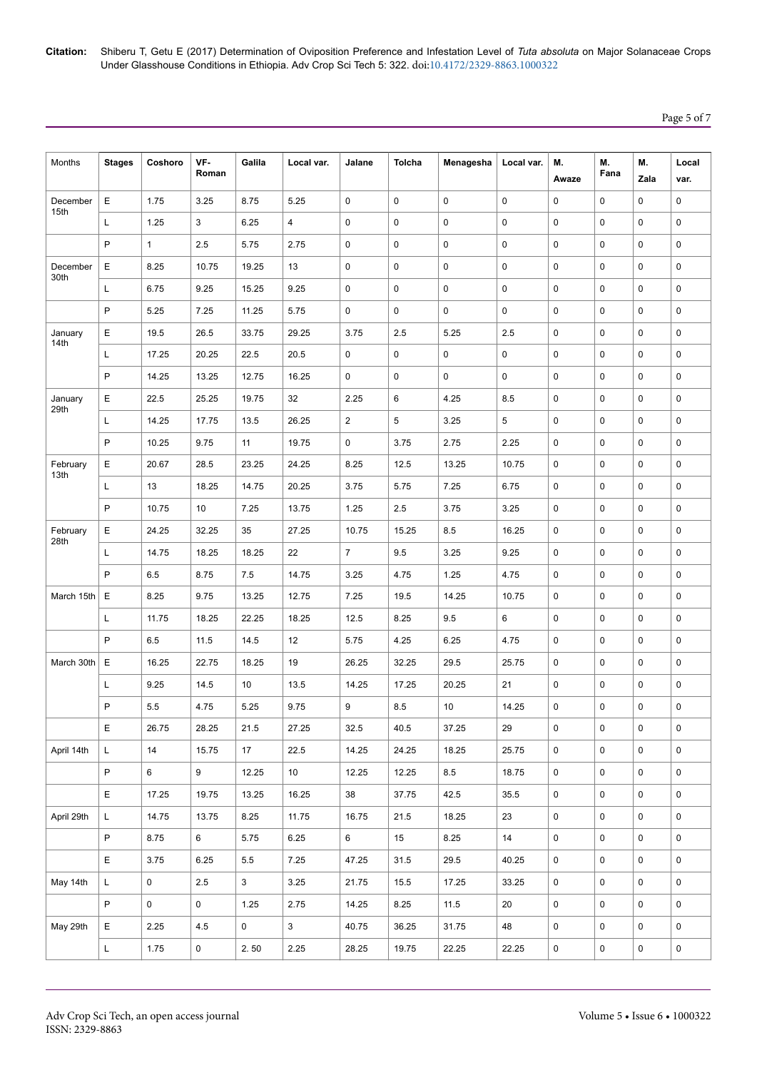**Citation:** Shiberu T, Getu E (2017) Determination of Oviposition Preference and Infestation Level of *Tuta absoluta* on Major Solanaceae Crops Under Glasshouse Conditions in Ethiopia. Adv Crop Sci Tech 5: 322. doi:10.4172/2329-8863.1000322

| Months           | <b>Stages</b> | Coshoro         | VF-<br>Roman        | Galila       | Local var. | Jalane         | Tolcha      | Menagesha   | Local var.  | М.<br>Awaze         | М.<br>Fana  | М.<br>Zala          | Local<br>var.       |
|------------------|---------------|-----------------|---------------------|--------------|------------|----------------|-------------|-------------|-------------|---------------------|-------------|---------------------|---------------------|
| December         | Е             | 1.75            | 3.25                | 8.75         | 5.25       | 0              | 0           | $\pmb{0}$   | 0           | 0                   | $\mathbf 0$ | $\mathbf 0$         | 0                   |
| 15th             | L             | 1.25            | 3                   | 6.25         | 4          | 0              | 0           | 0           | 0           | $\mathbf 0$         | $\mathbf 0$ | $\Omega$            | 0                   |
|                  | P             | $\mathbf{1}$    | 2.5                 | 5.75         | 2.75       | 0              | $\mathbf 0$ | 0           | 0           | $\mathbf 0$         | $\mathbf 0$ | $\mathbf 0$         | 0                   |
| December         | Е             | 8.25            | 10.75               | 19.25        | 13         | 0              | 0           | $\mathbf 0$ | 0           | $\mathbf 0$         | $\mathbf 0$ | $\Omega$            | 0                   |
| 30th             | L             | 6.75            | 9.25                | 15.25        | 9.25       | 0              | 0           | 0           | 0           | 0                   | $\pmb{0}$   | $\mathbf 0$         | 0                   |
|                  | P             | 5.25            | 7.25                | 11.25        | 5.75       | 0              | 0           | 0           | $\mathbf 0$ | 0                   | $\mathbf 0$ | $\mathbf 0$         | 0                   |
| January<br>14th  | Е             | 19.5            | 26.5                | 33.75        | 29.25      | 3.75           | 2.5         | 5.25        | 2.5         | 0                   | $\mathbf 0$ | $\mathbf 0$         | 0                   |
|                  | L             | 17.25           | 20.25               | 22.5         | 20.5       | 0              | 0           | 0           | 0           | $\mathbf 0$         | $\pmb{0}$   | $\mathbf 0$         | 0                   |
|                  | P             | 14.25           | 13.25               | 12.75        | 16.25      | 0              | 0           | 0           | 0           | $\mathbf 0$         | $\pmb{0}$   | $\mathbf 0$         | 0                   |
| January<br>29th  | Е             | 22.5            | 25.25               | 19.75        | 32         | 2.25           | 6           | 4.25        | 8.5         | 0                   | $\pmb{0}$   | $\mathbf 0$         | 0                   |
|                  | L             | 14.25           | 17.75               | 13.5         | 26.25      | $\overline{2}$ | 5           | 3.25        | 5           | $\mathbf 0$         | $\mathbf 0$ | $\Omega$            | 0                   |
|                  | P             | 10.25           | 9.75                | 11           | 19.75      | 0              | 3.75        | 2.75        | 2.25        | 0                   | 0           | $\mathbf 0$         | 0                   |
| February<br>13th | Е             | 20.67           | 28.5                | 23.25        | 24.25      | 8.25           | 12.5        | 13.25       | 10.75       | $\mathbf 0$         | $\mathbf 0$ | $\mathbf 0$         | 0                   |
|                  | L             | 13              | 18.25               | 14.75        | 20.25      | 3.75           | 5.75        | 7.25        | 6.75        | 0                   | 0           | $\mathbf 0$         | 0                   |
|                  | P             | 10.75           | 10                  | 7.25         | 13.75      | 1.25           | 2.5         | 3.75        | 3.25        | 0                   | $\mathbf 0$ | $\mathbf 0$         | 0                   |
| February<br>28th | E             | 24.25           | 32.25               | 35           | 27.25      | 10.75          | 15.25       | 8.5         | 16.25       | 0                   | $\mathbf 0$ | $\mathbf 0$         | 0                   |
|                  | L             | 14.75           | 18.25               | 18.25        | 22         | $\overline{7}$ | 9.5         | 3.25        | 9.25        | 0                   | $\pmb{0}$   | $\mathbf 0$         | 0                   |
|                  | P             | 6.5             | 8.75                | 7.5          | 14.75      | 3.25           | 4.75        | 1.25        | 4.75        | 0                   | $\pmb{0}$   | $\mathbf 0$         | 0                   |
| March 15th       | Е             | 8.25            | 9.75                | 13.25        | 12.75      | 7.25           | 19.5        | 14.25       | 10.75       | 0                   | $\pmb{0}$   | $\mathbf 0$         | 0                   |
|                  | L             | 11.75           | 18.25               | 22.25        | 18.25      | 12.5           | 8.25        | 9.5         | 6           | $\mathbf 0$         | $\mathbf 0$ | $\mathbf 0$         | 0                   |
|                  | P             | 6.5             | 11.5                | 14.5         | 12         | 5.75           | 4.25        | 6.25        | 4.75        | 0                   | $\pmb{0}$   | $\mathbf 0$         | 0                   |
| March 30th       | Ε             | 16.25           | 22.75               | 18.25        | 19         | 26.25          | 32.25       | 29.5        | 25.75       | 0                   | $\mathbf 0$ | $\mathbf 0$         | 0                   |
|                  | Г             | 9.25            | 14.5                | 10           | 13.5       | 14.25          | 17.25       | 20.25       | 21          | 0                   | 0           | 0                   | 0                   |
|                  | P             | 5.5             | 4.75                | 5.25         | 9.75       | 9              | 8.5         | 10          | 14.25       | 0                   | $\mathbf 0$ | $\mathbf 0$         | 0                   |
|                  | E             | 26.75           | 28.25               | 21.5         | 27.25      | 32.5           | 40.5        | 37.25       | 29          | $\mathsf{O}$        | 0           | $\mathsf{O}$        | 0                   |
| April 14th       | L.            | 14              | 15.75               | 17           | 22.5       | 14.25          | 24.25       | 18.25       | 25.75       | $\mathsf 0$         | $\mathbf 0$ | $\mathbf 0$         | $\mathsf{O}\xspace$ |
|                  | $\mathsf{P}$  | $6\overline{6}$ | 9                   | 12.25        | 10         | 12.25          | 12.25       | 8.5         | 18.75       | $\mathsf 0$         | $\mathsf 0$ | $\mathsf{O}$        | 0                   |
|                  | E             | 17.25           | 19.75               | 13.25        | 16.25      | 38             | 37.75       | 42.5        | 35.5        | $\mathsf{O}$        | $\mathbf 0$ | $\mathbf 0$         | 0                   |
| April 29th       | L             | 14.75           | 13.75               | 8.25         | 11.75      | 16.75          | 21.5        | 18.25       | 23          | $\mathsf{O}$        | $\mathbf 0$ | $\mathbf 0$         | 0                   |
|                  | $\mathsf P$   | 8.75            | 6                   | 5.75         | 6.25       | 6              | 15          | 8.25        | 14          | $\mathbf 0$         | 0           | $\mathbf 0$         | $\mathbf 0$         |
|                  | E             | 3.75            | 6.25                | 5.5          | 7.25       | 47.25          | 31.5        | 29.5        | 40.25       | $\mathsf 0$         | 0           | $\mathsf{O}$        | $\mathsf{O}\xspace$ |
| May 14th         | L             | $\mathsf{O}$    | 2.5                 | $\mathbf{3}$ | 3.25       | 21.75          | 15.5        | 17.25       | 33.25       | $\mathsf{O}$        | 0           | $\mathbf 0$         | 0                   |
|                  | P             | $\mathbf 0$     | $\mathsf{O}\xspace$ | 1.25         | 2.75       | 14.25          | 8.25        | 11.5        | 20          | $\mathsf 0$         | $\mathbf 0$ | $\mathsf{O}$        | $\mathsf{O}\xspace$ |
| May 29th         | E.            | 2.25            | 4.5                 | 0            | 3          | 40.75          | 36.25       | 31.75       | 48          | $\mathsf 0$         | $\mathbf 0$ | $\mathbf 0$         | 0                   |
|                  | L             | 1.75            | $\mathsf{O}\xspace$ | 2.50         | 2.25       | 28.25          | 19.75       | 22.25       | 22.25       | $\mathsf{O}\xspace$ | 0           | $\mathsf{O}\xspace$ | $\mathsf{O}\xspace$ |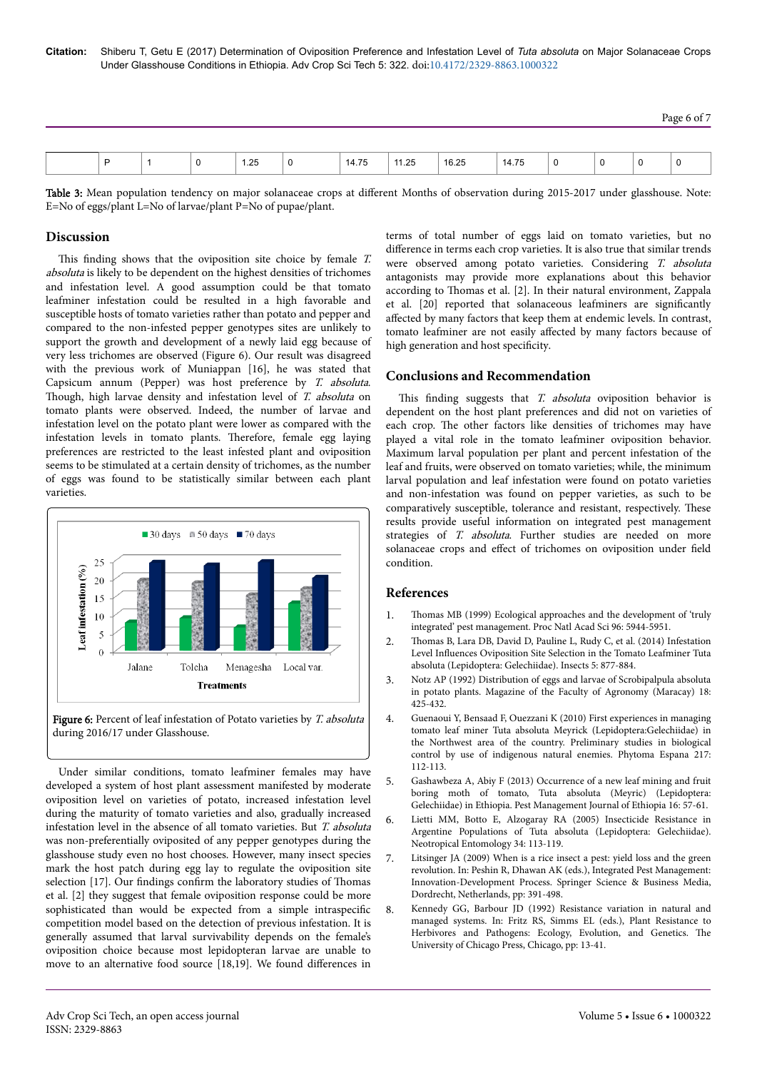Page 6 of 7

| 14.75<br>16.25<br>11.25<br>14.75<br>1.25<br>Ð<br>. .<br>v<br>$\sim$<br>$\sim$ |  |  |  |  |  |  |  |  |
|-------------------------------------------------------------------------------|--|--|--|--|--|--|--|--|
|                                                                               |  |  |  |  |  |  |  |  |

Table 3: Mean population tendency on major solanaceae crops at different Months of observation during 2015-2017 under glasshouse. Note: E=No of eggs/plant L=No of larvae/plant P=No of pupae/plant.

#### **Discussion**

This finding shows that the oviposition site choice by female  $T$ . absoluta is likely to be dependent on the highest densities of trichomes and infestation level. A good assumption could be that tomato leafminer infestation could be resulted in a high favorable and susceptible hosts of tomato varieties rather than potato and pepper and compared to the non-infested pepper genotypes sites are unlikely to support the growth and development of a newly laid egg because of very less trichomes are observed (Figure 6). Our result was disagreed with the previous work of Muniappan [16], he was stated that Capsicum annum (Pepper) was host preference by T. absoluta. Though, high larvae density and infestation level of T. absoluta on tomato plants were observed. Indeed, the number of larvae and infestation level on the potato plant were lower as compared with the infestation levels in tomato plants. Нerefore, female egg laying preferences are restricted to the least infested plant and oviposition seems to be stimulated at a certain density of trichomes, as the number of eggs was found to be statistically similar between each plant varieties.



Figure 6: Percent of leaf infestation of Potato varieties by T. absoluta during 2016/17 under Glasshouse.

Under similar conditions, tomato leafminer females may have developed a system of host plant assessment manifested by moderate oviposition level on varieties of potato, increased infestation level during the maturity of tomato varieties and also, gradually increased infestation level in the absence of all tomato varieties. But T. absoluta was non-preferentially oviposited of any pepper genotypes during the glasshouse study even no host chooses. However, many insect species mark the host patch during egg lay to regulate the oviposition site selection [17]. Our findings confirm the laboratory studies of Thomas et al. [2] they suggest that female oviposition response could be more sophisticated than would be expected from a simple intraspecific competition model based on the detection of previous infestation. It is generally assumed that larval survivability depends on the female's oviposition choice because most lepidopteran larvae are unable to move to an alternative food source [18,19]. We found differences in

terms of total number of eggs laid on tomato varieties, but no difference in terms each crop varieties. It is also true that similar trends were observed among potato varieties. Considering T. absoluta antagonists may provide more explanations about this behavior according to Thomas et al. [2]. In their natural environment, Zappala et al.  $[20]$  reported that solanaceous leafminers are significantly affected by many factors that keep them at endemic levels. In contrast, tomato leafminer are not easily affected by many factors because of high generation and host specificity.

#### **Conclusions and Recommendation**

This finding suggests that  $T$ . absoluta oviposition behavior is dependent on the host plant preferences and did not on varieties of each crop. Нe other factors like densities of trichomes may have played a vital role in the tomato leafminer oviposition behavior. Maximum larval population per plant and percent infestation of the leaf and fruits, were observed on tomato varieties; while, the minimum larval population and leaf infestation were found on potato varieties and non-infestation was found on pepper varieties, as such to be comparatively susceptible, tolerance and resistant, respectively. Нese results provide useful information on integrated pest management strategies of *T. absoluta*. Further studies are needed on more solanaceae crops and effect of trichomes on oviposition under field condition.

## **References**

- 1. Thomas [MB \(1999\) Ecological approaches and the development of 'truly](http://doi.org/10.1073/pnas.96.11.5944) [integrated' pest management. Proc Natl Acad Sci 96: 5944-5951.](http://doi.org/10.1073/pnas.96.11.5944)
- 2. Thomas [B, Lara DB, David D, Pauline L, Rudy C, et al. \(2014\) Infestation](http://doi.org/10.3390/insects5040877) Level Influences [Oviposition Site Selection in the Tomato Leafminer Tuta](http://doi.org/10.3390/insects5040877) [absoluta \(Lepidoptera: Gelechiidae\). Insects 5: 877-884.](http://doi.org/10.3390/insects5040877)
- 3. Notz AP (1992) Distribution of eggs and larvae of Scrobipalpula absoluta in potato plants. Magazine of the Faculty of Agronomy (Maracay) 18: 425-432.
- 4. [Guenaoui Y, Bensaad F, Ouezzani K \(2010\) First experiences in managing](http://agris.fao.org/agris-search/search.do?recordID=ES2010000581) [tomato leaf miner Tuta absoluta Meyrick \(Lepidoptera:Gelechiidae\) in](http://agris.fao.org/agris-search/search.do?recordID=ES2010000581) [the Northwest area of the country. Preliminary studies in biological](http://agris.fao.org/agris-search/search.do?recordID=ES2010000581) [control by use of indigenous natural enemies. Phytoma Espana 217:](http://agris.fao.org/agris-search/search.do?recordID=ES2010000581) [112-113.](http://agris.fao.org/agris-search/search.do?recordID=ES2010000581)
- 5. Gashawbeza A, Abiy F (2013) Occurrence of a new leaf mining and fruit boring moth of tomato, Tuta absoluta (Meyric) (Lepidoptera: Gelechiidae) in Ethiopia. Pest Management Journal of Ethiopia 16: 57-61.
- [Lietti MM, Botto E, Alzogaray RA \(2005\) Insecticide Resistance in](http://dx.doi.org/10.1590/S1519-566X2005000100016) [Argentine Populations of Tuta absoluta \(Lepidoptera: Gelechiidae\).](http://dx.doi.org/10.1590/S1519-566X2005000100016) [Neotropical Entomology 34: 113-119.](http://dx.doi.org/10.1590/S1519-566X2005000100016)
- 7. [Litsinger JA \(2009\) When is a rice insect a pest: yield loss and the green](https://link.springer.com/chapter/10.1007/978-1-4020-8992-3_16) [revolution. In: Peshin R, Dhawan AK \(eds.\), Integrated Pest Management:](https://link.springer.com/chapter/10.1007/978-1-4020-8992-3_16) [Innovation-Development Process. Springer Science & Business Media,](https://link.springer.com/chapter/10.1007/978-1-4020-8992-3_16) [Dordrecht, Netherlands, pp: 391-498.](https://link.springer.com/chapter/10.1007/978-1-4020-8992-3_16)
- 8. [Kennedy GG, Barbour JD \(1992\) Resistance variation in natural and](https://books.google.co.in/books?hl=en&lr=&id=ervbDVVxnjwC&oi=fnd&pg=PA13&dq=Resistance+variation+in+natural+and+managed+systems&ots=hqSFCUT7AI&sig=yMmyVI13mw_hN2heHySdAtSeUec) [managed systems. In: Fritz RS, Simms EL \(eds.\), Plant Resistance to](https://books.google.co.in/books?hl=en&lr=&id=ervbDVVxnjwC&oi=fnd&pg=PA13&dq=Resistance+variation+in+natural+and+managed+systems&ots=hqSFCUT7AI&sig=yMmyVI13mw_hN2heHySdAtSeUec) [Herbivores and Pathogens: Ecology, Evolution, and Genetics.](https://books.google.co.in/books?hl=en&lr=&id=ervbDVVxnjwC&oi=fnd&pg=PA13&dq=Resistance+variation+in+natural+and+managed+systems&ots=hqSFCUT7AI&sig=yMmyVI13mw_hN2heHySdAtSeUec) Нe [University of Chicago Press, Chicago, pp: 13-41.](https://books.google.co.in/books?hl=en&lr=&id=ervbDVVxnjwC&oi=fnd&pg=PA13&dq=Resistance+variation+in+natural+and+managed+systems&ots=hqSFCUT7AI&sig=yMmyVI13mw_hN2heHySdAtSeUec)